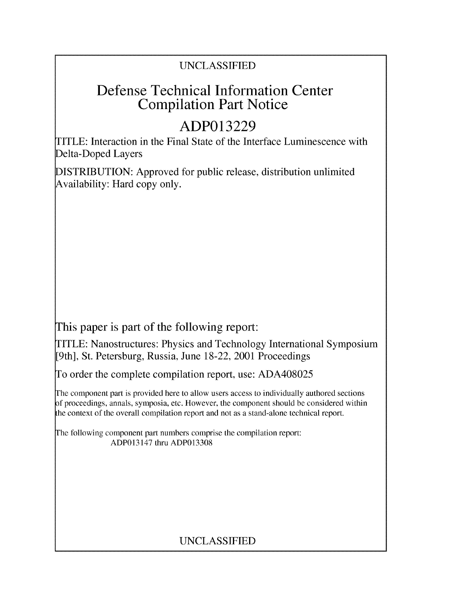## **UNCLASSIFIED**

# Defense Technical Information Center Compilation Part Notice

# **ADP013229**

TITLE: Interaction in the Final State of the Interface Luminescence with Delta-Doped Layers

**DISTRIBUTION:** Approved for public release, distribution unlimited Availability: Hard copy only.

This paper is part of the following report:

TITLE: Nanostructures: Physics and Technology International Symposium [9th], St. Petersburg, Russia, June **18-22,** 2001 Proceedings

To order the complete compilation report, use: **ADA408025**

The component part is provided here to allow users access to individually authored sections **A** proceedings, annals, symposia, etc. However, the component should be considered within the context of the overall compilation report and not as a stand-alone technical report.

The following component part numbers comprise the compilation report: ADP013147 thru **ADP013308**

# **UNCLASSIFIED**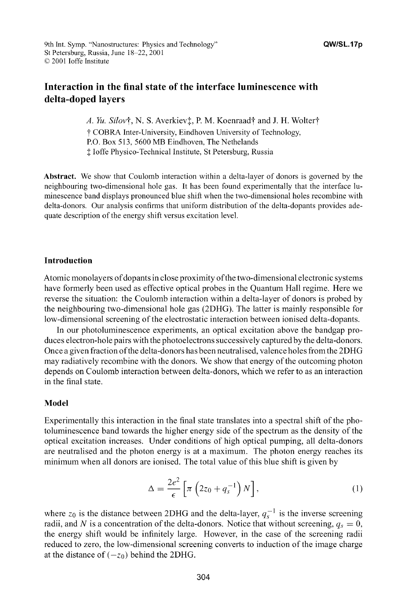## Interaction in the final state of the interface luminescence with delta-doped layers

A. Yu. Silov†, N. S. Averkiev<sup>†</sup>, P. M. Koenraad† and J. H. Wolter† "t COBRA Inter-University, Eindhoven University of Technology, P.O. Box 513, 5600 MB Eindhoven, The Nethelands **I** loffe Physico-Technical Institute, St Petersburg, Russia

Abstract. We show that Coulomb interaction within a delta-layer of donors is governed by the neighbouring two-dimensional hole gas. It has been found experimentally that the interface luminescence band displays pronounced blue shift when the two-dimensional holes recombine with delta-donors. Our analysis confirms that uniform distribution of the delta-dopants provides adequate description of the energy shift versus excitation level.

#### Introduction

Atomic monolayers of dopants in close proximity ofthe two-dimensional electronic systems have formerly been used as effective optical probes in the Quantum Hall regime. Here we reverse the situation: the Coulomb interaction within a delta-layer of donors is probed by the neighbouring two-dimensional hole gas (2DHG). The latter is mainly responsible for low-dimensional screening of the electrostatic interaction between ionised delta-dopants.

In our photoluminescence experiments, an optical excitation above the bandgap produces electron-hole pairs with the photoelectrons successively captured by the delta-donors. Once a given fraction ofthe delta-donors has been neutralised, valence holes from the 2DHG may radiatively recombine with the donors. We show that energy of the outcoming photon depends on Coulomb interaction between delta-donors, which we refer to as an interaction in the final state.

#### Model

Experimentally this interaction in the final state translates into a spectral shift of the photoluminescence band towards the higher energy side of the spectrum as the density of the optical excitation increases. Under conditions of high optical pumping, all delta-donors are neutralised and the photon energy is at a maximum. The photon energy reaches its minimum when all donors are ionised. The total value of this blue shift is given by

$$
\Delta = \frac{2e^2}{\epsilon} \left[ \pi \left( 2z_0 + q_s^{-1} \right) N \right],\tag{1}
$$

where  $z_0$  is the distance between 2DHG and the delta-layer,  $q_s^{-1}$  is the inverse screening radii, and *N* is a concentration of the delta-donors. Notice that without screening,  $q_s = 0$ , the energy shift would be infinitely large. However, in the case of the screening radii reduced to zero, the low-dimensional screening converts to induction of the image charge at the distance of  $(-z_0)$  behind the 2DHG.